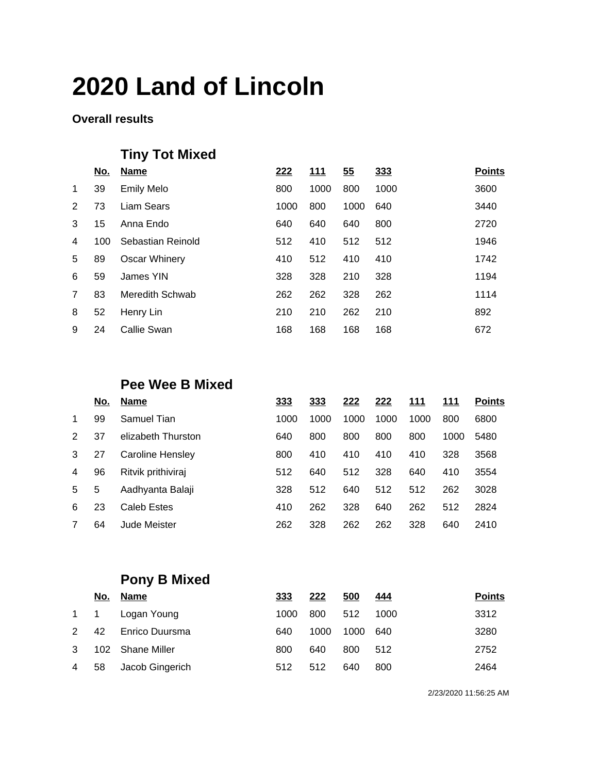#### **Overall results**

## **Tiny Tot Mixed**

|             | <u>No.</u> | <b>Name</b>       | 222  | <u>111</u> | 55   | 333  | <b>Points</b> |
|-------------|------------|-------------------|------|------------|------|------|---------------|
| $\mathbf 1$ | 39         | <b>Emily Melo</b> | 800  | 1000       | 800  | 1000 | 3600          |
| 2           | 73         | Liam Sears        | 1000 | 800        | 1000 | 640  | 3440          |
| 3           | 15         | Anna Endo         | 640  | 640        | 640  | 800  | 2720          |
| 4           | 100        | Sebastian Reinold | 512  | 410        | 512  | 512  | 1946          |
| 5           | 89         | Oscar Whinery     | 410  | 512        | 410  | 410  | 1742          |
| 6           | 59         | James YIN         | 328  | 328        | 210  | 328  | 1194          |
| 7           | 83         | Meredith Schwab   | 262  | 262        | 328  | 262  | 1114          |
| 8           | 52         | Henry Lin         | 210  | 210        | 262  | 210  | 892           |
| 9           | 24         | Callie Swan       | 168  | 168        | 168  | 168  | 672           |
|             |            |                   |      |            |      |      |               |

### **Pee Wee B Mixed**

|               | No. | <b>Name</b>        | 333  | 333  | 222  | 222  | 111  | 111  | <b>Points</b> |
|---------------|-----|--------------------|------|------|------|------|------|------|---------------|
| $\mathbf 1$   | 99  | Samuel Tian        | 1000 | 1000 | 1000 | 1000 | 1000 | 800  | 6800          |
| $\mathcal{P}$ | 37  | elizabeth Thurston | 640  | 800  | 800  | 800  | 800  | 1000 | 5480          |
| 3             | 27  | Caroline Hensley   | 800  | 410  | 410  | 410  | 410  | 328  | 3568          |
| 4             | 96  | Ritvik prithiviraj | 512  | 640  | 512  | 328  | 640  | 410  | 3554          |
| 5             | 5   | Aadhyanta Balaji   | 328  | 512  | 640  | 512  | 512  | 262  | 3028          |
| 6             | 23  | Caleb Estes        | 410  | 262  | 328  | 640  | 262  | 512  | 2824          |
| 7             | 64  | Jude Meister       | 262  | 328  | 262  | 262  | 328  | 640  | 2410          |

## **Pony B Mixed**

|                | <u>No.</u> | Name             | 333  | 222  | 500  | <u>444</u> | <b>Points</b> |
|----------------|------------|------------------|------|------|------|------------|---------------|
| 1 1            |            | Logan Young      | 1000 | 800  | 512  | 1000       | 3312          |
| 2              | 42         | Enrico Duursma   | 640  | 1000 | 1000 | 640        | 3280          |
| 3              |            | 102 Shane Miller | 800  | 640  | 800  | 512        | 2752          |
| $\overline{4}$ | 58         | Jacob Gingerich  | 512  | 512  | 640  | 800        | 2464          |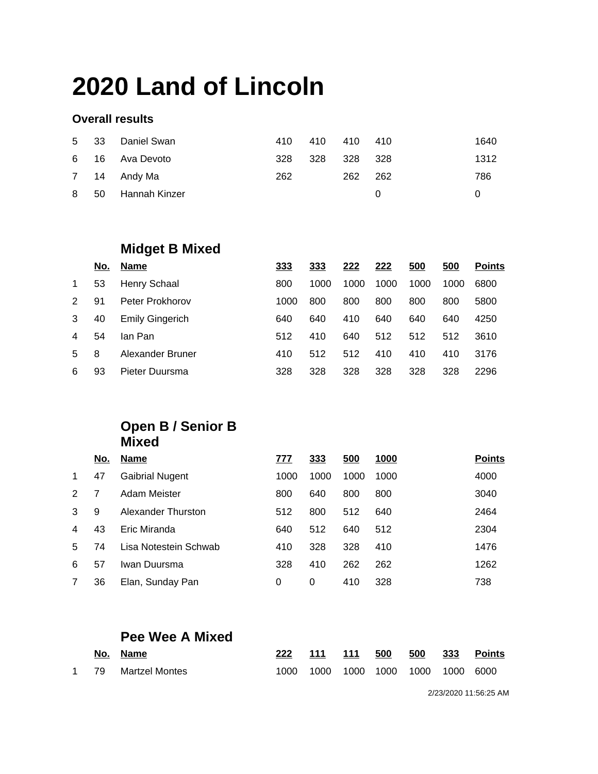#### **Overall results**

|      | 5 33 Daniel Swan | 410 | 410 | 410 410 | 1640 |
|------|------------------|-----|-----|---------|------|
|      | 6 16 Ava Devoto  | 328 | 328 | 328 328 | 1312 |
|      | 7 14 Andy Ma     | 262 |     | 262 262 | 786  |
| 8 50 | Hannah Kinzer    |     |     |         |      |

### **Midget B Mixed**

|               | No. | <b>Name</b>            | 333  | 333  | 222  | 222  | 500  | 500  | <b>Points</b> |
|---------------|-----|------------------------|------|------|------|------|------|------|---------------|
| $\mathbf 1$   | 53  | Henry Schaal           | 800  | 1000 | 1000 | 1000 | 1000 | 1000 | 6800          |
| $\mathcal{P}$ | 91  | Peter Prokhorov        | 1000 | 800  | 800  | 800  | 800  | 800  | 5800          |
| 3             | 40  | <b>Emily Gingerich</b> | 640  | 640  | 410  | 640  | 640  | 640  | 4250          |
| 4             | 54  | lan Pan                | 512  | 410  | 640  | 512  | 512  | 512  | 3610          |
| 5             | 8   | Alexander Bruner       | 410  | 512  | 512  | 410  | 410  | 410  | 3176          |
| 6             | 93  | Pieter Duursma         | 328  | 328  | 328  | 328  | 328  | 328  | 2296          |

### **Open B / Senior B Mixed**

|               | No. | <b>Name</b>            | 777  | 333  | 500  | 1000 | <b>Points</b> |
|---------------|-----|------------------------|------|------|------|------|---------------|
| $\mathbf 1$   | 47  | <b>Gaibrial Nugent</b> | 1000 | 1000 | 1000 | 1000 | 4000          |
| $\mathcal{P}$ | 7   | Adam Meister           | 800  | 640  | 800  | 800  | 3040          |
| 3             | 9   | Alexander Thurston     | 512  | 800  | 512  | 640  | 2464          |
| 4             | 43  | Eric Miranda           | 640  | 512  | 640  | 512  | 2304          |
| 5             | 74  | Lisa Notestein Schwab  | 410  | 328  | 328  | 410  | 1476          |
| 6             | 57  | Iwan Duursma           | 328  | 410  | 262  | 262  | 1262          |
| 7             | 36  | Elan, Sunday Pan       | 0    | 0    | 410  | 328  | 738           |
|               |     |                        |      |      |      |      |               |

### **Pee Wee A Mixed**

|  | No. Name            |           |  |                          | 222 111 111 500 500 333 Points |
|--|---------------------|-----------|--|--------------------------|--------------------------------|
|  | 1 79 Martzel Montes | 1000 1000 |  | 1000 1000 1000 1000 6000 |                                |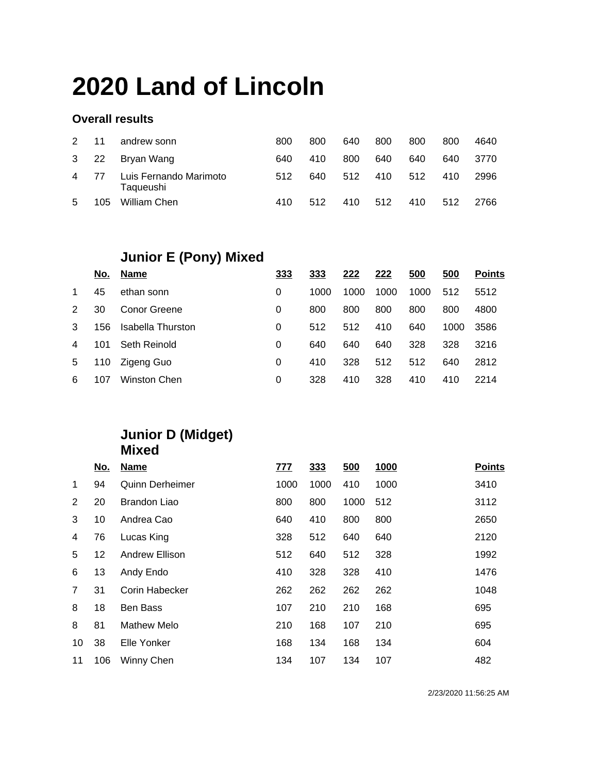#### **Overall results**

| $2^{\circ}$ | $-11$ | andrew sonn                         | 800 | 800  | 640 | 800 | 800 | 800 | 4640 |
|-------------|-------|-------------------------------------|-----|------|-----|-----|-----|-----|------|
| $3\quad 22$ |       | Bryan Wang                          | 640 | 410  | 800 | 640 | 640 | 640 | 3770 |
| 4 77        |       | Luis Fernando Marimoto<br>Taqueushi | 512 | 640. | 512 | 410 | 512 | 410 | 2996 |
| 5           | 105   | William Chen                        | 410 | 512  | 410 | 512 | 410 | 512 | 2766 |

## **Junior E (Pony) Mixed**

|               | No. | <b>Name</b>       | 333 | 333  | 222  | 222  | 500  | 500  | <b>Points</b> |
|---------------|-----|-------------------|-----|------|------|------|------|------|---------------|
| 1             | 45  | ethan sonn        | 0   | 1000 | 1000 | 1000 | 1000 | 512  | 5512          |
| $\mathcal{P}$ | 30  | Conor Greene      | 0   | 800  | 800  | 800  | 800  | 800  | 4800          |
| 3             | 156 | Isabella Thurston | 0   | 512  | 512  | 410  | 640  | 1000 | 3586          |
| 4             | 101 | Seth Reinold      | 0   | 640  | 640  | 640  | 328  | 328  | 3216          |
| 5             | 110 | Zigeng Guo        | 0   | 410  | 328  | 512  | 512  | 640  | 2812          |
| 6             | 107 | Winston Chen      | 0   | 328  | 410  | 328  | 410  | 410  | 2214          |

### **Junior D (Midget) Mixed**

|                | <u>No.</u> | <b>Name</b>            | 777  | 333  | 500  | 1000 | <b>Points</b> |
|----------------|------------|------------------------|------|------|------|------|---------------|
| $\mathbf 1$    | 94         | <b>Quinn Derheimer</b> | 1000 | 1000 | 410  | 1000 | 3410          |
| 2              | 20         | Brandon Liao           | 800  | 800  | 1000 | 512  | 3112          |
| 3              | 10         | Andrea Cao             | 640  | 410  | 800  | 800  | 2650          |
| 4              | 76         | Lucas King             | 328  | 512  | 640  | 640  | 2120          |
| 5              | 12         | Andrew Ellison         | 512  | 640  | 512  | 328  | 1992          |
| 6              | 13         | Andy Endo              | 410  | 328  | 328  | 410  | 1476          |
| $\overline{7}$ | 31         | Corin Habecker         | 262  | 262  | 262  | 262  | 1048          |
| 8              | 18         | <b>Ben Bass</b>        | 107  | 210  | 210  | 168  | 695           |
| 8              | 81         | Mathew Melo            | 210  | 168  | 107  | 210  | 695           |
| 10             | 38         | Elle Yonker            | 168  | 134  | 168  | 134  | 604           |
| 11             | 106        | Winny Chen             | 134  | 107  | 134  | 107  | 482           |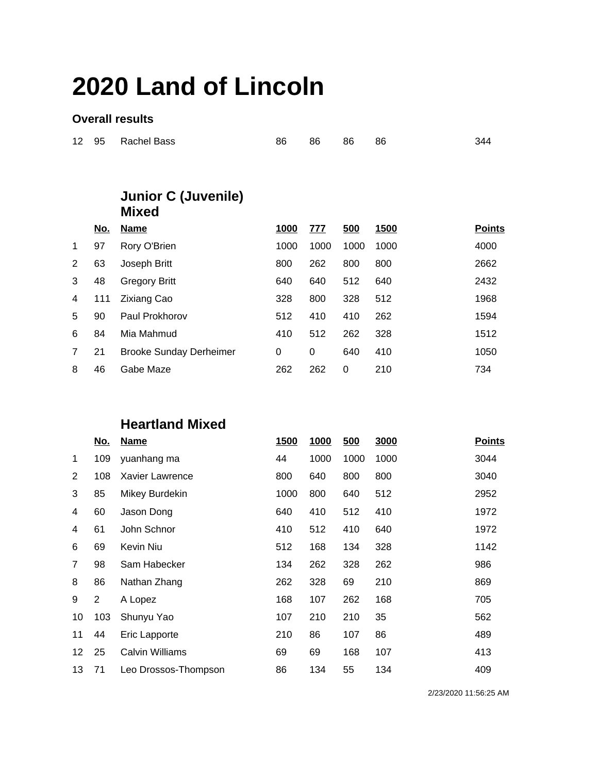#### **Overall results**

| 12             | 95         | Rachel Bass                                | 86          | 86         | 86   | 86          | 344           |
|----------------|------------|--------------------------------------------|-------------|------------|------|-------------|---------------|
|                |            |                                            |             |            |      |             |               |
|                |            | <b>Junior C (Juvenile)</b><br><b>Mixed</b> |             |            |      |             |               |
|                | <u>No.</u> | <u>Name</u>                                | <u>1000</u> | <u>777</u> | 500  | <u>1500</u> | <b>Points</b> |
| $\mathbf 1$    | 97         | Rory O'Brien                               | 1000        | 1000       | 1000 | 1000        | 4000          |
| 2              | 63         | Joseph Britt                               | 800         | 262        | 800  | 800         | 2662          |
| 3              | 48         | <b>Gregory Britt</b>                       | 640         | 640        | 512  | 640         | 2432          |
| 4              | 111        | <b>Zixiang Cao</b>                         | 328         | 800        | 328  | 512         | 1968          |
| 5              | 90         | Paul Prokhorov                             | 512         | 410        | 410  | 262         | 1594          |
| 6              | 84         | Mia Mahmud                                 | 410         | 512        | 262  | 328         | 1512          |
| $\overline{7}$ | 21         | <b>Brooke Sunday Derheimer</b>             | 0           | 0          | 640  | 410         | 1050          |
| 8              | 46         | Gabe Maze                                  | 262         | 262        | 0    | 210         | 734           |

### **Heartland Mixed**

|    | <u>No.</u> | <u>Name</u>            | <b>1500</b> | 1000 | 500  | 3000 | <b>Points</b> |
|----|------------|------------------------|-------------|------|------|------|---------------|
| 1  | 109        | yuanhang ma            | 44          | 1000 | 1000 | 1000 | 3044          |
| 2  | 108        | Xavier Lawrence        | 800         | 640  | 800  | 800  | 3040          |
| 3  | 85         | Mikey Burdekin         | 1000        | 800  | 640  | 512  | 2952          |
| 4  | 60         | Jason Dong             | 640         | 410  | 512  | 410  | 1972          |
| 4  | 61         | John Schnor            | 410         | 512  | 410  | 640  | 1972          |
| 6  | 69         | Kevin Niu              | 512         | 168  | 134  | 328  | 1142          |
| 7  | 98         | Sam Habecker           | 134         | 262  | 328  | 262  | 986           |
| 8  | 86         | Nathan Zhang           | 262         | 328  | 69   | 210  | 869           |
| 9  | 2          | A Lopez                | 168         | 107  | 262  | 168  | 705           |
| 10 | 103        | Shunyu Yao             | 107         | 210  | 210  | 35   | 562           |
| 11 | 44         | Eric Lapporte          | 210         | 86   | 107  | 86   | 489           |
| 12 | 25         | <b>Calvin Williams</b> | 69          | 69   | 168  | 107  | 413           |
| 13 | 71         | Leo Drossos-Thompson   | 86          | 134  | 55   | 134  | 409           |